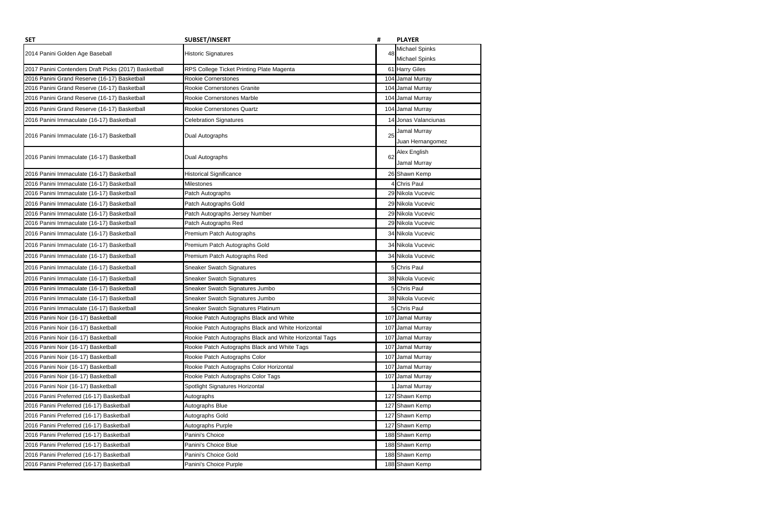| <b>SET</b>                                           | <b>SUBSET/INSERT</b>                                    | #   | <b>PLAYER</b>         |
|------------------------------------------------------|---------------------------------------------------------|-----|-----------------------|
| 2014 Panini Golden Age Baseball                      | <b>Historic Signatures</b>                              | 48  | <b>Michael Spinks</b> |
|                                                      |                                                         |     | <b>Michael Spinks</b> |
| 2017 Panini Contenders Draft Picks (2017) Basketball | RPS College Ticket Printing Plate Magenta               |     | 61 Harry Giles        |
| 2016 Panini Grand Reserve (16-17) Basketball         | Rookie Cornerstones                                     |     | 104 Jamal Murray      |
| 2016 Panini Grand Reserve (16-17) Basketball         | Rookie Cornerstones Granite                             |     | 104 Jamal Murray      |
| 2016 Panini Grand Reserve (16-17) Basketball         | Rookie Cornerstones Marble                              |     | 104 Jamal Murray      |
| 2016 Panini Grand Reserve (16-17) Basketball         | Rookie Cornerstones Quartz                              |     | 104 Jamal Murray      |
| 2016 Panini Immaculate (16-17) Basketball            | <b>Celebration Signatures</b>                           |     | 14 Jonas Valanciunas  |
| 2016 Panini Immaculate (16-17) Basketball            | Dual Autographs                                         | 25  | Jamal Murray          |
|                                                      |                                                         |     | Juan Hernangomez      |
| 2016 Panini Immaculate (16-17) Basketball            | Dual Autographs                                         | 62  | Alex English          |
|                                                      |                                                         |     | Jamal Murray          |
| 2016 Panini Immaculate (16-17) Basketball            | Historical Significance                                 |     | 26 Shawn Kemp         |
| 2016 Panini Immaculate (16-17) Basketball            | Milestones                                              |     | <b>Chris Paul</b>     |
| 2016 Panini Immaculate (16-17) Basketball            | Patch Autographs                                        |     | 29 Nikola Vucevic     |
| 2016 Panini Immaculate (16-17) Basketball            | Patch Autographs Gold                                   |     | 29 Nikola Vucevic     |
| 2016 Panini Immaculate (16-17) Basketball            | Patch Autographs Jersey Number                          |     | 29 Nikola Vucevic     |
| 2016 Panini Immaculate (16-17) Basketball            | Patch Autographs Red                                    |     | 29 Nikola Vucevic     |
| 2016 Panini Immaculate (16-17) Basketball            | Premium Patch Autographs                                |     | 34 Nikola Vucevic     |
| 2016 Panini Immaculate (16-17) Basketball            | Premium Patch Autographs Gold                           |     | 34 Nikola Vucevic     |
| 2016 Panini Immaculate (16-17) Basketball            | Premium Patch Autographs Red                            |     | 34 Nikola Vucevic     |
| 2016 Panini Immaculate (16-17) Basketball            | <b>Sneaker Swatch Signatures</b>                        |     | <b>Chris Paul</b>     |
| 2016 Panini Immaculate (16-17) Basketball            | <b>Sneaker Swatch Signatures</b>                        |     | 38 Nikola Vucevic     |
| 2016 Panini Immaculate (16-17) Basketball            | Sneaker Swatch Signatures Jumbo                         |     | 5 Chris Paul          |
| 2016 Panini Immaculate (16-17) Basketball            | Sneaker Swatch Signatures Jumbo                         |     | 38 Nikola Vucevic     |
| 2016 Panini Immaculate (16-17) Basketball            | Sneaker Swatch Signatures Platinum                      |     | 5 Chris Paul          |
| 2016 Panini Noir (16-17) Basketball                  | Rookie Patch Autographs Black and White                 |     | 107 Jamal Murray      |
| 2016 Panini Noir (16-17) Basketball                  | Rookie Patch Autographs Black and White Horizontal      |     | 107 Jamal Murray      |
| 2016 Panini Noir (16-17) Basketball                  | Rookie Patch Autographs Black and White Horizontal Tags |     | 107 Jamal Murray      |
| 2016 Panini Noir (16-17) Basketball                  | Rookie Patch Autographs Black and White Tags            |     | 107 Jamal Murray      |
| 2016 Panini Noir (16-17) Basketball                  | Rookie Patch Autographs Color                           |     | 107 Jamal Murray      |
| 2016 Panini Noir (16-17) Basketball                  | Rookie Patch Autographs Color Horizontal                |     | 107 Jamal Murray      |
| 2016 Panini Noir (16-17) Basketball                  | Rookie Patch Autographs Color Tags                      |     | 107 Jamal Murray      |
| 2016 Panini Noir (16-17) Basketball                  | Spotlight Signatures Horizontal                         |     | <b>Jamal Murray</b>   |
| 2016 Panini Preferred (16-17) Basketball             | Autographs                                              |     | 127 Shawn Kemp        |
| 2016 Panini Preferred (16-17) Basketball             | Autographs Blue                                         | 127 | Shawn Kemp            |
| 2016 Panini Preferred (16-17) Basketball             | Autographs Gold                                         |     | 127 Shawn Kemp        |
| 2016 Panini Preferred (16-17) Basketball             | Autographs Purple                                       |     | 127 Shawn Kemp        |
| 2016 Panini Preferred (16-17) Basketball             | Panini's Choice                                         |     | 188 Shawn Kemp        |
| 2016 Panini Preferred (16-17) Basketball             | Panini's Choice Blue                                    |     | 188 Shawn Kemp        |
| 2016 Panini Preferred (16-17) Basketball             | Panini's Choice Gold                                    |     | 188 Shawn Kemp        |
| 2016 Panini Preferred (16-17) Basketball             | Panini's Choice Purple                                  |     | 188 Shawn Kemp        |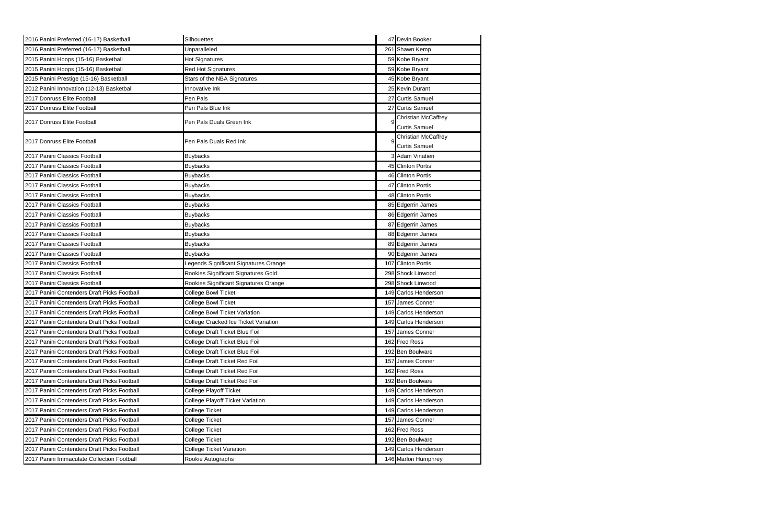| 2016 Panini Preferred (16-17) Basketball    | Silhouettes                           | 47 Devin Booker                                    |
|---------------------------------------------|---------------------------------------|----------------------------------------------------|
| 2016 Panini Preferred (16-17) Basketball    | Unparalleled                          | 261 Shawn Kemp                                     |
| 2015 Panini Hoops (15-16) Basketball        | Hot Signatures                        | 59 Kobe Bryant                                     |
| 2015 Panini Hoops (15-16) Basketball        | <b>Red Hot Signatures</b>             | 59 Kobe Bryant                                     |
| 2015 Panini Prestige (15-16) Basketball     | Stars of the NBA Signatures           | 45 Kobe Bryant                                     |
| 2012 Panini Innovation (12-13) Basketball   | Innovative Ink                        | 25 Kevin Durant                                    |
| 2017 Donruss Elite Football                 | Pen Pals                              | 27 Curtis Samuel                                   |
| 2017 Donruss Elite Football                 | Pen Pals Blue Ink                     | 27 Curtis Samuel                                   |
| 2017 Donruss Elite Football                 | Pen Pals Duals Green Ink              | <b>Christian McCaffrey</b><br><b>Curtis Samuel</b> |
|                                             |                                       |                                                    |
| 2017 Donruss Elite Football                 | Pen Pals Duals Red Ink                | Christian McCaffrey<br><b>Curtis Samuel</b>        |
| 2017 Panini Classics Football               | <b>Buybacks</b>                       | 3 Adam Vinatieri                                   |
| 2017 Panini Classics Football               | <b>Buybacks</b>                       | 45 Clinton Portis                                  |
| 2017 Panini Classics Football               | <b>Buybacks</b>                       | 46 Clinton Portis                                  |
| 2017 Panini Classics Football               | <b>Buybacks</b>                       | 47 Clinton Portis                                  |
| 2017 Panini Classics Football               | <b>Buybacks</b>                       | 48 Clinton Portis                                  |
| 2017 Panini Classics Football               | <b>Buybacks</b>                       | 85 Edgerrin James                                  |
| 2017 Panini Classics Football               | <b>Buybacks</b>                       | 86 Edgerrin James                                  |
| 2017 Panini Classics Football               | <b>Buybacks</b>                       | 87 Edgerrin James                                  |
| 2017 Panini Classics Football               | <b>Buybacks</b>                       | 88 Edgerrin James                                  |
| 2017 Panini Classics Football               | <b>Buybacks</b>                       | 89 Edgerrin James                                  |
| 2017 Panini Classics Football               | <b>Buybacks</b>                       | 90 Edgerrin James                                  |
| 2017 Panini Classics Football               | Legends Significant Signatures Orange | 107 Clinton Portis                                 |
| 2017 Panini Classics Football               | Rookies Significant Signatures Gold   | 298 Shock Linwood                                  |
| 2017 Panini Classics Football               | Rookies Significant Signatures Orange | 298 Shock Linwood                                  |
| 2017 Panini Contenders Draft Picks Football | College Bowl Ticket                   | 149 Carlos Henderson                               |
| 2017 Panini Contenders Draft Picks Football | College Bowl Ticket                   | 157 James Conner                                   |
| 2017 Panini Contenders Draft Picks Football | College Bowl Ticket Variation         | 149 Carlos Henderson                               |
| 2017 Panini Contenders Draft Picks Football | College Cracked Ice Ticket Variation  | 149 Carlos Henderson                               |
| 2017 Panini Contenders Draft Picks Football | College Draft Ticket Blue Foil        | 157 James Conner                                   |
| 2017 Panini Contenders Draft Picks Football | College Draft Ticket Blue Foil        | 162 Fred Ross                                      |
| 2017 Panini Contenders Draft Picks Football | College Draft Ticket Blue Foil        | 192 Ben Boulware                                   |
| 2017 Panini Contenders Draft Picks Football | College Draft Ticket Red Foil         | 157 James Conner                                   |
| 2017 Panini Contenders Draft Picks Football | College Draft Ticket Red Foil         | 162 Fred Ross                                      |
| 2017 Panini Contenders Draft Picks Football | College Draft Ticket Red Foil         | 192 Ben Boulware                                   |
| 2017 Panini Contenders Draft Picks Football | <b>College Playoff Ticket</b>         | 149 Carlos Henderson                               |
| 2017 Panini Contenders Draft Picks Football | College Playoff Ticket Variation      | 149 Carlos Henderson                               |
| 2017 Panini Contenders Draft Picks Football | College Ticket                        | 149 Carlos Henderson                               |
| 2017 Panini Contenders Draft Picks Football | College Ticket                        | 157 James Conner                                   |
| 2017 Panini Contenders Draft Picks Football | College Ticket                        | 162 Fred Ross                                      |
| 2017 Panini Contenders Draft Picks Football | College Ticket                        | 192 Ben Boulware                                   |
| 2017 Panini Contenders Draft Picks Football | College Ticket Variation              | 149 Carlos Henderson                               |
| 2017 Panini Immaculate Collection Football  | Rookie Autographs                     | 146 Marlon Humphrey                                |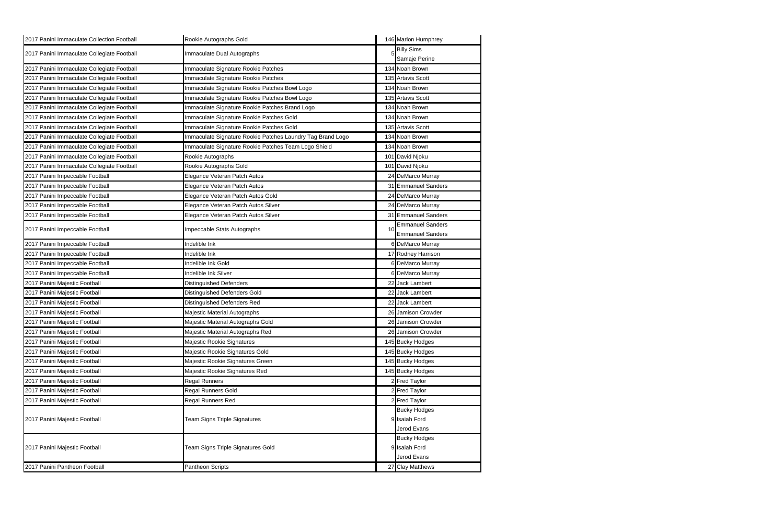| 2017 Panini Immaculate Collection Football | Rookie Autographs Gold                                     |    | 146 Marlon Humphrey     |
|--------------------------------------------|------------------------------------------------------------|----|-------------------------|
| 2017 Panini Immaculate Collegiate Football | Immaculate Dual Autographs                                 |    | <b>Billy Sims</b>       |
|                                            |                                                            |    | Samaje Perine           |
| 2017 Panini Immaculate Collegiate Football | Immaculate Signature Rookie Patches                        |    | 134 Noah Brown          |
| 2017 Panini Immaculate Collegiate Football | Immaculate Signature Rookie Patches                        |    | 135 Artavis Scott       |
| 2017 Panini Immaculate Collegiate Football | Immaculate Signature Rookie Patches Bowl Logo              |    | 134 Noah Brown          |
| 2017 Panini Immaculate Collegiate Football | Immaculate Signature Rookie Patches Bowl Logo              |    | 135 Artavis Scott       |
| 2017 Panini Immaculate Collegiate Football | Immaculate Signature Rookie Patches Brand Logo             |    | 134 Noah Brown          |
| 2017 Panini Immaculate Collegiate Football | Immaculate Signature Rookie Patches Gold                   |    | 134 Noah Brown          |
| 2017 Panini Immaculate Collegiate Football | Immaculate Signature Rookie Patches Gold                   |    | 135 Artavis Scott       |
| 2017 Panini Immaculate Collegiate Football | Immaculate Signature Rookie Patches Laundry Tag Brand Logo |    | 134 Noah Brown          |
| 2017 Panini Immaculate Collegiate Football | Immaculate Signature Rookie Patches Team Logo Shield       |    | 134 Noah Brown          |
| 2017 Panini Immaculate Collegiate Football | Rookie Autographs                                          |    | 101 David Njoku         |
| 2017 Panini Immaculate Collegiate Football | Rookie Autographs Gold                                     |    | 101 David Njoku         |
| 2017 Panini Impeccable Football            | Elegance Veteran Patch Autos                               |    | 24 DeMarco Murray       |
| 2017 Panini Impeccable Football            | Elegance Veteran Patch Autos                               |    | 31 Emmanuel Sanders     |
| 2017 Panini Impeccable Football            | Elegance Veteran Patch Autos Gold                          |    | 24 DeMarco Murray       |
| 2017 Panini Impeccable Football            | Elegance Veteran Patch Autos Silver                        |    | 24 DeMarco Murray       |
| 2017 Panini Impeccable Football            | Elegance Veteran Patch Autos Silver                        |    | 31 Emmanuel Sanders     |
|                                            |                                                            |    | <b>Emmanuel Sanders</b> |
| 2017 Panini Impeccable Football            | Impeccable Stats Autographs                                | 10 | <b>Emmanuel Sanders</b> |
| 2017 Panini Impeccable Football            | Indelible Ink                                              |    | 6 DeMarco Murray        |
| 2017 Panini Impeccable Football            | Indelible Ink                                              |    | 17 Rodney Harrison      |
| 2017 Panini Impeccable Football            | Indelible Ink Gold                                         |    | 6 DeMarco Murray        |
| 2017 Panini Impeccable Football            | Indelible Ink Silver                                       |    | 6 DeMarco Murray        |
| 2017 Panini Majestic Football              | <b>Distinguished Defenders</b>                             |    | 22 Jack Lambert         |
| 2017 Panini Majestic Football              | Distinguished Defenders Gold                               |    | 22 Jack Lambert         |
| 2017 Panini Majestic Football              | Distinguished Defenders Red                                |    | 22 Jack Lambert         |
| 2017 Panini Majestic Football              | Majestic Material Autographs                               |    | 26 Jamison Crowder      |
| 2017 Panini Majestic Football              | Majestic Material Autographs Gold                          |    | 26 Jamison Crowder      |
| 2017 Panini Majestic Football              | Majestic Material Autographs Red                           |    | 26 Jamison Crowder      |
| 2017 Panini Majestic Football              | Majestic Rookie Signatures                                 |    | 145 Bucky Hodges        |
| 2017 Panini Majestic Football              | Majestic Rookie Signatures Gold                            |    | 145 Bucky Hodges        |
| 2017 Panini Majestic Football              | Majestic Rookie Signatures Green                           |    | 145 Bucky Hodges        |
| 2017 Panini Majestic Football              | Majestic Rookie Signatures Red                             |    | 145 Bucky Hodges        |
| 2017 Panini Majestic Football              | <b>Regal Runners</b>                                       |    | 2 Fred Taylor           |
| 2017 Panini Majestic Football              | Regal Runners Gold                                         |    | 2 Fred Taylor           |
| 2017 Panini Majestic Football              | Regal Runners Red                                          |    | 2 Fred Taylor           |
|                                            |                                                            |    | <b>Bucky Hodges</b>     |
| 2017 Panini Majestic Football              | Team Signs Triple Signatures                               |    | 9 Isaiah Ford           |
|                                            |                                                            |    | Jerod Evans             |
|                                            |                                                            |    | <b>Bucky Hodges</b>     |
| 2017 Panini Majestic Football              | Team Signs Triple Signatures Gold                          |    | 9 Isaiah Ford           |
|                                            |                                                            |    | Jerod Evans             |
| 2017 Panini Pantheon Football              | Pantheon Scripts                                           |    | 27 Clay Matthews        |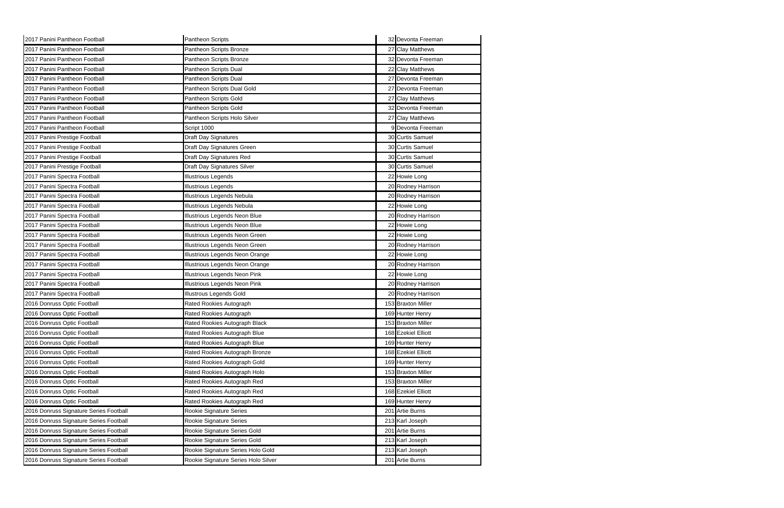| 2017 Panini Pantheon Football          | Pantheon Scripts                    | 32 Devonta Freeman  |
|----------------------------------------|-------------------------------------|---------------------|
| 2017 Panini Pantheon Football          | Pantheon Scripts Bronze             | 27 Clay Matthews    |
| 2017 Panini Pantheon Football          | Pantheon Scripts Bronze             | 32 Devonta Freeman  |
| 2017 Panini Pantheon Football          | Pantheon Scripts Dual               | 22 Clay Matthews    |
| 2017 Panini Pantheon Football          | Pantheon Scripts Dual               | 27 Devonta Freeman  |
| 2017 Panini Pantheon Football          | Pantheon Scripts Dual Gold          | 27 Devonta Freeman  |
| 2017 Panini Pantheon Football          | Pantheon Scripts Gold               | 27 Clay Matthews    |
| 2017 Panini Pantheon Football          | Pantheon Scripts Gold               | 32 Devonta Freeman  |
| 2017 Panini Pantheon Football          | Pantheon Scripts Holo Silver        | 27 Clay Matthews    |
| 2017 Panini Pantheon Football          | Script 1000                         | 9 Devonta Freeman   |
| 2017 Panini Prestige Football          | Draft Day Signatures                | 30 Curtis Samuel    |
| 2017 Panini Prestige Football          | Draft Day Signatures Green          | 30 Curtis Samuel    |
| 2017 Panini Prestige Football          | Draft Day Signatures Red            | 30 Curtis Samuel    |
| 2017 Panini Prestige Football          | Draft Day Signatures Silver         | 30 Curtis Samuel    |
| 2017 Panini Spectra Football           | <b>Illustrious Legends</b>          | 22 Howie Long       |
| 2017 Panini Spectra Football           | <b>Illustrious Legends</b>          | 20 Rodney Harrison  |
| 2017 Panini Spectra Football           | Illustrious Legends Nebula          | 20 Rodney Harrison  |
| 2017 Panini Spectra Football           | Illustrious Legends Nebula          | 22 Howie Long       |
| 2017 Panini Spectra Football           | Illustrious Legends Neon Blue       | 20 Rodney Harrison  |
| 2017 Panini Spectra Football           | Illustrious Legends Neon Blue       | 22 Howie Long       |
| 2017 Panini Spectra Football           | Illustrious Legends Neon Green      | 22 Howie Long       |
| 2017 Panini Spectra Football           | Illustrious Legends Neon Green      | 20 Rodney Harrison  |
| 2017 Panini Spectra Football           | Illustrious Legends Neon Orange     | 22 Howie Long       |
| 2017 Panini Spectra Football           | Illustrious Legends Neon Orange     | 20 Rodney Harrison  |
| 2017 Panini Spectra Football           | Illustrious Legends Neon Pink       | 22 Howie Long       |
| 2017 Panini Spectra Football           | Illustrious Legends Neon Pink       | 20 Rodney Harrison  |
| 2017 Panini Spectra Football           | <b>Illustrous Legends Gold</b>      | 20 Rodney Harrison  |
| 2016 Donruss Optic Football            | Rated Rookies Autograph             | 153 Braxton Miller  |
| 2016 Donruss Optic Football            | Rated Rookies Autograph             | 169 Hunter Henry    |
| 2016 Donruss Optic Football            | Rated Rookies Autograph Black       | 153 Braxton Miller  |
| 2016 Donruss Optic Football            | Rated Rookies Autograph Blue        | 168 Ezekiel Elliott |
| 2016 Donruss Optic Football            | Rated Rookies Autograph Blue        | 169 Hunter Henry    |
| 2016 Donruss Optic Football            | Rated Rookies Autograph Bronze      | 168 Ezekiel Elliott |
| 2016 Donruss Optic Football            | Rated Rookies Autograph Gold        | 169 Hunter Henry    |
| 2016 Donruss Optic Football            | Rated Rookies Autograph Holo        | 153 Braxton Miller  |
| 2016 Donruss Optic Football            | Rated Rookies Autograph Red         | 153 Braxton Miller  |
| 2016 Donruss Optic Football            | Rated Rookies Autograph Red         | 168 Ezekiel Elliott |
| 2016 Donruss Optic Football            | Rated Rookies Autograph Red         | 169 Hunter Henry    |
| 2016 Donruss Signature Series Football | Rookie Signature Series             | 201 Artie Burns     |
| 2016 Donruss Signature Series Football | Rookie Signature Series             | 213 Karl Joseph     |
| 2016 Donruss Signature Series Football | Rookie Signature Series Gold        | 201 Artie Burns     |
| 2016 Donruss Signature Series Football | Rookie Signature Series Gold        | 213 Karl Joseph     |
| 2016 Donruss Signature Series Football | Rookie Signature Series Holo Gold   | 213 Karl Joseph     |
| 2016 Donruss Signature Series Football | Rookie Signature Series Holo Silver | 201 Artie Burns     |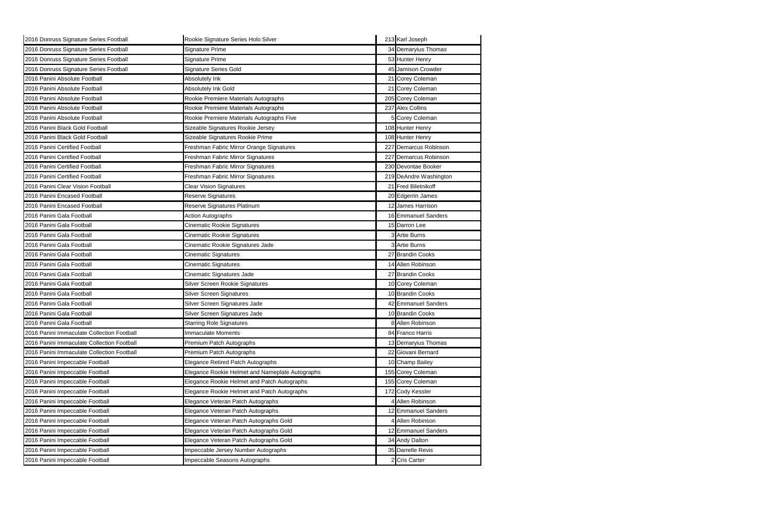| 2016 Donruss Signature Series Football     | Rookie Signature Series Holo Silver             | 213 Karl Joseph        |
|--------------------------------------------|-------------------------------------------------|------------------------|
| 2016 Donruss Signature Series Football     | Signature Prime                                 | 34 Demaryius Thomas    |
| 2016 Donruss Signature Series Football     | Signature Prime                                 | 53 Hunter Henry        |
| 2016 Donruss Signature Series Football     | <b>Signature Series Gold</b>                    | 45 Jamison Crowder     |
| 2016 Panini Absolute Football              | Absolutely Ink                                  | 21 Corey Coleman       |
| 2016 Panini Absolute Football              | Absolutely Ink Gold                             | 21 Corey Coleman       |
| 2016 Panini Absolute Football              | Rookie Premiere Materials Autographs            | 205 Corey Coleman      |
| 2016 Panini Absolute Football              | Rookie Premiere Materials Autographs            | 237 Alex Collins       |
| 2016 Panini Absolute Football              | Rookie Premiere Materials Autographs Five       | 5 Corey Coleman        |
| 2016 Panini Black Gold Football            | Sizeable Signatures Rookie Jersey               | 108 Hunter Henry       |
| 2016 Panini Black Gold Football            | Sizeable Signatures Rookie Prime                | 108 Hunter Henry       |
| 2016 Panini Certified Football             | Freshman Fabric Mirror Orange Signatures        | 227 Demarcus Robinson  |
| 2016 Panini Certified Football             | Freshman Fabric Mirror Signatures               | 227 Demarcus Robinson  |
| 2016 Panini Certified Football             | Freshman Fabric Mirror Signatures               | 230 Devontae Booker    |
| 2016 Panini Certified Football             | Freshman Fabric Mirror Signatures               | 219 DeAndre Washington |
| 2016 Panini Clear Vision Football          | <b>Clear Vision Signatures</b>                  | 21 Fred Biletnikoff    |
| 2016 Panini Encased Football               | Reserve Signatures                              | 20 Edgerrin James      |
| 2016 Panini Encased Football               | Reserve Signatures Platinum                     | 12 James Harrison      |
| 2016 Panini Gala Football                  | <b>Action Autographs</b>                        | 16 Emmanuel Sanders    |
| 2016 Panini Gala Football                  | <b>Cinematic Rookie Signatures</b>              | 15 Darron Lee          |
| 2016 Panini Gala Football                  | <b>Cinematic Rookie Signatures</b>              | 3 Artie Burns          |
| 2016 Panini Gala Football                  | Cinematic Rookie Signatures Jade                | 3 Artie Burns          |
| 2016 Panini Gala Football                  | Cinematic Signatures                            | 27 Brandin Cooks       |
| 2016 Panini Gala Football                  | <b>Cinematic Signatures</b>                     | 14 Allen Robinson      |
| 2016 Panini Gala Football                  | Cinematic Signatures Jade                       | 27 Brandin Cooks       |
| 2016 Panini Gala Football                  | Silver Screen Rookie Signatures                 | 10 Corey Coleman       |
| 2016 Panini Gala Football                  | Silver Screen Signatures                        | 10 Brandin Cooks       |
| 2016 Panini Gala Football                  | Silver Screen Signatures Jade                   | 42 Emmanuel Sanders    |
| 2016 Panini Gala Football                  | Silver Screen Signatures Jade                   | 10 Brandin Cooks       |
| 2016 Panini Gala Football                  | <b>Starring Role Signatures</b>                 | 8 Allen Robinson       |
| 2016 Panini Immaculate Collection Football | <b>Immaculate Moments</b>                       | 84 Franco Harris       |
| 2016 Panini Immaculate Collection Football | Premium Patch Autographs                        | 13 Demaryius Thomas    |
| 2016 Panini Immaculate Collection Football | Premium Patch Autographs                        | 22 Giovani Bernard     |
| 2016 Panini Impeccable Football            | Elegance Retired Patch Autographs               | 10 Champ Bailey        |
| 2016 Panini Impeccable Football            | Elegance Rookie Helmet and Nameplate Autographs | 155 Corey Coleman      |
| 2016 Panini Impeccable Football            | Elegance Rookie Helmet and Patch Autographs     | 155 Corey Coleman      |
| 2016 Panini Impeccable Football            | Elegance Rookie Helmet and Patch Autographs     | 172 Cody Kessler       |
| 2016 Panini Impeccable Football            | Elegance Veteran Patch Autographs               | <b>Allen Robinson</b>  |
| 2016 Panini Impeccable Football            | Elegance Veteran Patch Autographs               | 12 Emmanuel Sanders    |
| 2016 Panini Impeccable Football            | Elegance Veteran Patch Autographs Gold          | 4 Allen Robinson       |
| 2016 Panini Impeccable Football            | Elegance Veteran Patch Autographs Gold          | 12 Emmanuel Sanders    |
| 2016 Panini Impeccable Football            | Elegance Veteran Patch Autographs Gold          | 34 Andy Dalton         |
| 2016 Panini Impeccable Football            |                                                 |                        |
|                                            | Impeccable Jersey Number Autographs             | 35 Darrelle Revis      |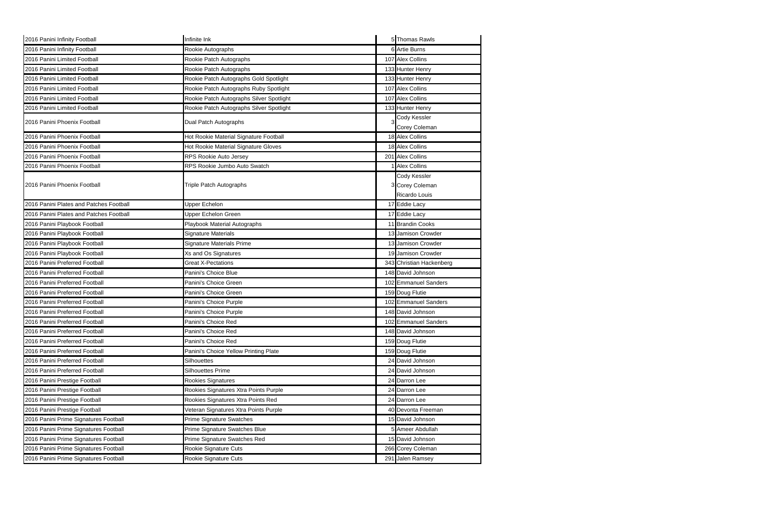| 2016 Panini Infinity Football           | Infinite Ink                             | 5 Thomas Rawls                |
|-----------------------------------------|------------------------------------------|-------------------------------|
| 2016 Panini Infinity Football           | Rookie Autographs                        | 6 Artie Burns                 |
| 2016 Panini Limited Football            | Rookie Patch Autographs                  | 107 Alex Collins              |
| 2016 Panini Limited Football            | Rookie Patch Autographs                  | 133 Hunter Henry              |
| 2016 Panini Limited Football            | Rookie Patch Autographs Gold Spotlight   | 133 Hunter Henry              |
| 2016 Panini Limited Football            | Rookie Patch Autographs Ruby Spotlight   | 107 Alex Collins              |
| 2016 Panini Limited Football            | Rookie Patch Autographs Silver Spotlight | 107 Alex Collins              |
| 2016 Panini Limited Football            | Rookie Patch Autographs Silver Spotlight | 133 Hunter Henry              |
| 2016 Panini Phoenix Football            | Dual Patch Autographs                    | Cody Kessler<br>Corey Coleman |
| 2016 Panini Phoenix Football            | Hot Rookie Material Signature Football   | 18 Alex Collins               |
| 2016 Panini Phoenix Football            | Hot Rookie Material Signature Gloves     | 18 Alex Collins               |
| 2016 Panini Phoenix Football            | RPS Rookie Auto Jersey                   | 201 Alex Collins              |
| 2016 Panini Phoenix Football            | RPS Rookie Jumbo Auto Swatch             | <b>Alex Collins</b>           |
|                                         |                                          | Cody Kessler                  |
| 2016 Panini Phoenix Football            | <b>Triple Patch Autographs</b>           | 3 Corey Coleman               |
|                                         |                                          | Ricardo Louis                 |
| 2016 Panini Plates and Patches Football | Upper Echelon                            | 17 Eddie Lacy                 |
| 2016 Panini Plates and Patches Football | Upper Echelon Green                      | 17 Eddie Lacy                 |
| 2016 Panini Playbook Football           | Playbook Material Autographs             | 11 Brandin Cooks              |
| 2016 Panini Playbook Football           | Signature Materials                      | 13 Jamison Crowder            |
| 2016 Panini Playbook Football           | Signature Materials Prime                | 13 Jamison Crowder            |
| 2016 Panini Playbook Football           | Xs and Os Signatures                     | 19 Jamison Crowder            |
| 2016 Panini Preferred Football          | <b>Great X-Pectations</b>                | 343 Christian Hackenberg      |
| 2016 Panini Preferred Football          | Panini's Choice Blue                     | 148 David Johnson             |
| 2016 Panini Preferred Football          | Panini's Choice Green                    | 102 Emmanuel Sanders          |
| 2016 Panini Preferred Football          | Panini's Choice Green                    | 159 Doug Flutie               |
| 2016 Panini Preferred Football          | Panini's Choice Purple                   | 102 Emmanuel Sanders          |
| 2016 Panini Preferred Football          | Panini's Choice Purple                   | 148 David Johnson             |
| 2016 Panini Preferred Football          | Panini's Choice Red                      | 102 Emmanuel Sanders          |
| 2016 Panini Preferred Football          | Panini's Choice Red                      | 148 David Johnson             |
| 2016 Panini Preferred Football          | Panini's Choice Red                      | 159 Doug Flutie               |
| 2016 Panini Preferred Football          | Panini's Choice Yellow Printing Plate    | 159 Doug Flutie               |
| 2016 Panini Preferred Football          | Silhouettes                              | 24 David Johnson              |
| 2016 Panini Preferred Football          | Silhouettes Prime                        | 24 David Johnson              |
| 2016 Panini Prestige Football           | Rookies Signatures                       | 24 Darron Lee                 |
| 2016 Panini Prestige Football           | Rookies Signatures Xtra Points Purple    | 24 Darron Lee                 |
| 2016 Panini Prestige Football           | Rookies Signatures Xtra Points Red       | 24 Darron Lee                 |
| 2016 Panini Prestige Football           | Veteran Signatures Xtra Points Purple    | 40 Devonta Freeman            |
| 2016 Panini Prime Signatures Football   | <b>Prime Signature Swatches</b>          | 15 David Johnson              |
| 2016 Panini Prime Signatures Football   | Prime Signature Swatches Blue            | 5 Ameer Abdullah              |
| 2016 Panini Prime Signatures Football   | Prime Signature Swatches Red             | 15 David Johnson              |
| 2016 Panini Prime Signatures Football   | Rookie Signature Cuts                    | 266 Corey Coleman             |
| 2016 Panini Prime Signatures Football   | Rookie Signature Cuts                    | 291 Jalen Ramsey              |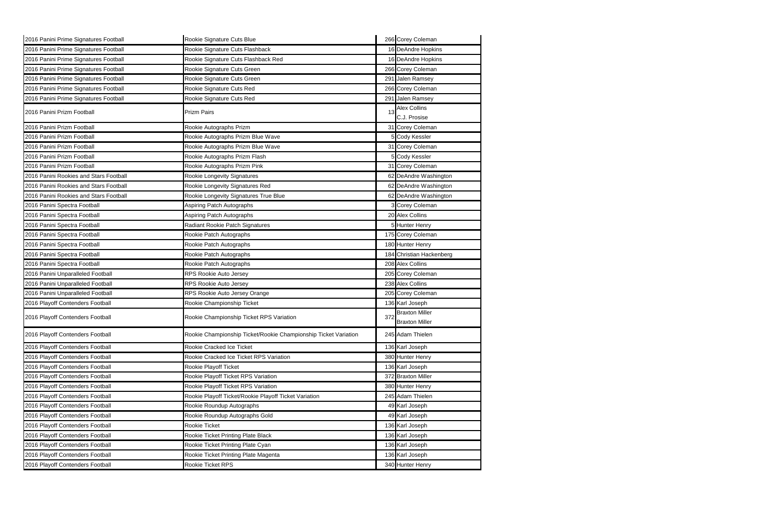| 2016 Panini Prime Signatures Football  | Rookie Signature Cuts Blue                                      |     | 266 Corey Coleman                              |
|----------------------------------------|-----------------------------------------------------------------|-----|------------------------------------------------|
| 2016 Panini Prime Signatures Football  | Rookie Signature Cuts Flashback                                 |     | 16 DeAndre Hopkins                             |
| 2016 Panini Prime Signatures Football  | Rookie Signature Cuts Flashback Red                             |     | 16 DeAndre Hopkins                             |
| 2016 Panini Prime Signatures Football  | Rookie Signature Cuts Green                                     |     | 266 Corey Coleman                              |
| 2016 Panini Prime Signatures Football  | Rookie Signature Cuts Green                                     |     | 291 Jalen Ramsey                               |
| 2016 Panini Prime Signatures Football  | Rookie Signature Cuts Red                                       |     | 266 Corey Coleman                              |
| 2016 Panini Prime Signatures Football  | Rookie Signature Cuts Red                                       |     | 291 Jalen Ramsey                               |
| 2016 Panini Prizm Football             | <b>Prizm Pairs</b>                                              | 13  | <b>Alex Collins</b><br>C.J. Prosise            |
| 2016 Panini Prizm Football             | Rookie Autographs Prizm                                         |     | 31 Corey Coleman                               |
| 2016 Panini Prizm Football             | Rookie Autographs Prizm Blue Wave                               |     | 5 Cody Kessler                                 |
| 2016 Panini Prizm Football             | Rookie Autographs Prizm Blue Wave                               |     | 31 Corey Coleman                               |
| 2016 Panini Prizm Football             | Rookie Autographs Prizm Flash                                   |     | 5 Cody Kessler                                 |
| 2016 Panini Prizm Football             | Rookie Autographs Prizm Pink                                    |     | 31 Corey Coleman                               |
| 2016 Panini Rookies and Stars Football | Rookie Longevity Signatures                                     |     | 62 DeAndre Washington                          |
| 2016 Panini Rookies and Stars Football | Rookie Longevity Signatures Red                                 |     | 62 DeAndre Washington                          |
| 2016 Panini Rookies and Stars Football | Rookie Longevity Signatures True Blue                           |     | 62 DeAndre Washington                          |
| 2016 Panini Spectra Football           | Aspiring Patch Autographs                                       |     | 3 Corey Coleman                                |
| 2016 Panini Spectra Football           | Aspiring Patch Autographs                                       |     | 20 Alex Collins                                |
| 2016 Panini Spectra Football           | Radiant Rookie Patch Signatures                                 |     | 5 Hunter Henry                                 |
| 2016 Panini Spectra Football           | Rookie Patch Autographs                                         |     | 175 Corey Coleman                              |
| 2016 Panini Spectra Football           | Rookie Patch Autographs                                         |     | 180 Hunter Henry                               |
| 2016 Panini Spectra Football           | Rookie Patch Autographs                                         |     | 184 Christian Hackenberg                       |
| 2016 Panini Spectra Football           | Rookie Patch Autographs                                         |     | 208 Alex Collins                               |
| 2016 Panini Unparalleled Football      | RPS Rookie Auto Jersey                                          |     | 205 Corey Coleman                              |
| 2016 Panini Unparalleled Football      | RPS Rookie Auto Jersey                                          |     | 238 Alex Collins                               |
| 2016 Panini Unparalleled Football      | RPS Rookie Auto Jersey Orange                                   |     | 205 Corey Coleman                              |
| 2016 Playoff Contenders Football       | Rookie Championship Ticket                                      |     | 136 Karl Joseph                                |
| 2016 Playoff Contenders Football       | Rookie Championship Ticket RPS Variation                        | 372 | <b>Braxton Miller</b><br><b>Braxton Miller</b> |
| 2016 Playoff Contenders Football       | Rookie Championship Ticket/Rookie Championship Ticket Variation |     | 245 Adam Thielen                               |
| 2016 Playoff Contenders Football       | Rookie Cracked Ice Ticket                                       |     | 136 Karl Joseph                                |
| 2016 Playoff Contenders Football       | Rookie Cracked Ice Ticket RPS Variation                         |     | 380 Hunter Henry                               |
| 2016 Playoff Contenders Football       | Rookie Playoff Ticket                                           |     | 136 Karl Joseph                                |
| 2016 Playoff Contenders Football       | Rookie Playoff Ticket RPS Variation                             |     | 372 Braxton Miller                             |
| 2016 Playoff Contenders Football       | Rookie Playoff Ticket RPS Variation                             |     | 380 Hunter Henry                               |
| 2016 Playoff Contenders Football       | Rookie Playoff Ticket/Rookie Playoff Ticket Variation           |     | 245 Adam Thielen                               |
| 2016 Playoff Contenders Football       | Rookie Roundup Autographs                                       |     | 49 Karl Joseph                                 |
| 2016 Playoff Contenders Football       | Rookie Roundup Autographs Gold                                  |     | 49 Karl Joseph                                 |
| 2016 Playoff Contenders Football       | Rookie Ticket                                                   |     | 136 Karl Joseph                                |
| 2016 Playoff Contenders Football       | Rookie Ticket Printing Plate Black                              |     | 136 Karl Joseph                                |
| 2016 Playoff Contenders Football       | Rookie Ticket Printing Plate Cyan                               |     | 136 Karl Joseph                                |
| 2016 Playoff Contenders Football       | Rookie Ticket Printing Plate Magenta                            |     | 136 Karl Joseph                                |
| 2016 Playoff Contenders Football       | Rookie Ticket RPS                                               |     | 340 Hunter Henry                               |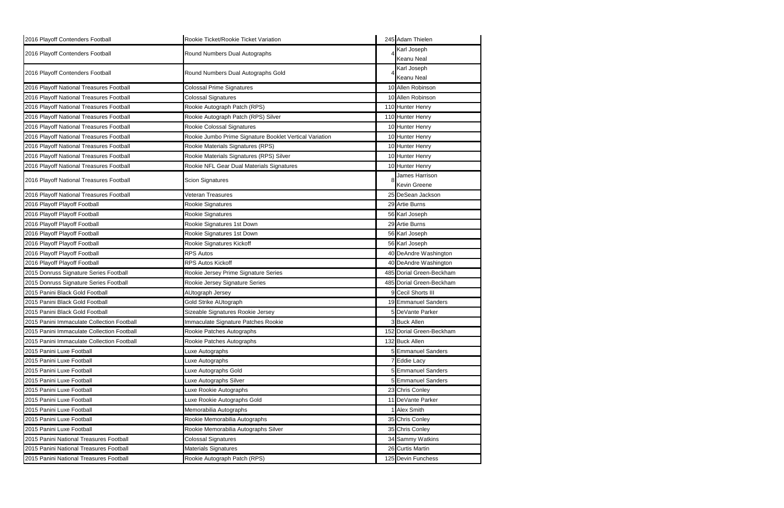| 2016 Playoff Contenders Football           | Rookie Ticket/Rookie Ticket Variation                   | 245 Adam Thielen         |
|--------------------------------------------|---------------------------------------------------------|--------------------------|
| 2016 Playoff Contenders Football           | Round Numbers Dual Autographs                           | Karl Joseph              |
|                                            |                                                         | Keanu Neal               |
| 2016 Playoff Contenders Football           | Round Numbers Dual Autographs Gold                      | Karl Joseph              |
|                                            |                                                         | Keanu Neal               |
| 2016 Playoff National Treasures Football   | <b>Colossal Prime Signatures</b>                        | 10 Allen Robinson        |
| 2016 Playoff National Treasures Football   | Colossal Signatures                                     | 10 Allen Robinson        |
| 2016 Playoff National Treasures Football   | Rookie Autograph Patch (RPS)                            | 110 Hunter Henry         |
| 2016 Playoff National Treasures Football   | Rookie Autograph Patch (RPS) Silver                     | 110 Hunter Henry         |
| 2016 Playoff National Treasures Football   | Rookie Colossal Signatures                              | 10 Hunter Henry          |
| 2016 Playoff National Treasures Football   | Rookie Jumbo Prime Signature Booklet Vertical Variation | 10 Hunter Henry          |
| 2016 Playoff National Treasures Football   | Rookie Materials Signatures (RPS)                       | 10 Hunter Henry          |
| 2016 Playoff National Treasures Football   | Rookie Materials Signatures (RPS) Silver                | 10 Hunter Henry          |
| 2016 Playoff National Treasures Football   | Rookie NFL Gear Dual Materials Signatures               | 10 Hunter Henry          |
|                                            |                                                         | James Harrison           |
| 2016 Playoff National Treasures Football   | <b>Scion Signatures</b>                                 | Kevin Greene             |
| 2016 Playoff National Treasures Football   | Veteran Treasures                                       | 25 DeSean Jackson        |
| 2016 Playoff Playoff Football              | Rookie Signatures                                       | 29 Artie Burns           |
| 2016 Playoff Playoff Football              | Rookie Signatures                                       | 56 Karl Joseph           |
| 2016 Playoff Playoff Football              | Rookie Signatures 1st Down                              | 29 Artie Burns           |
| 2016 Playoff Playoff Football              | Rookie Signatures 1st Down                              | 56 Karl Joseph           |
| 2016 Playoff Playoff Football              | Rookie Signatures Kickoff                               | 56 Karl Joseph           |
| 2016 Playoff Playoff Football              | <b>RPS Autos</b>                                        | 40 DeAndre Washington    |
| 2016 Playoff Playoff Football              | RPS Autos Kickoff                                       | 40 DeAndre Washington    |
| 2015 Donruss Signature Series Football     | Rookie Jersey Prime Signature Series                    | 485 Dorial Green-Beckham |
| 2015 Donruss Signature Series Football     | Rookie Jersey Signature Series                          | 485 Dorial Green-Beckham |
| 2015 Panini Black Gold Football            | AUtograph Jersey                                        | 9 Cecil Shorts III       |
| 2015 Panini Black Gold Football            | <b>Gold Strike AUtograph</b>                            | 19 Emmanuel Sanders      |
| 2015 Panini Black Gold Football            | Sizeable Signatures Rookie Jersey                       | 5 DeVante Parker         |
| 2015 Panini Immaculate Collection Football | Immaculate Signature Patches Rookie                     | 3 Buck Allen             |
| 2015 Panini Immaculate Collection Football | Rookie Patches Autographs                               | 152 Dorial Green-Beckham |
| 2015 Panini Immaculate Collection Football | Rookie Patches Autographs                               | 132 Buck Allen           |
| 2015 Panini Luxe Football                  | Luxe Autographs                                         | <b>Emmanuel Sanders</b>  |
| 2015 Panini Luxe Football                  | Luxe Autographs                                         | 7 Eddie Lacy             |
| 2015 Panini Luxe Football                  | Luxe Autographs Gold                                    | 5 Emmanuel Sanders       |
| 2015 Panini Luxe Football                  | Luxe Autographs Silver                                  | 5 Emmanuel Sanders       |
| 2015 Panini Luxe Football                  | Luxe Rookie Autographs                                  | 23 Chris Conley          |
| 2015 Panini Luxe Football                  | Luxe Rookie Autographs Gold                             | 11 DeVante Parker        |
| 2015 Panini Luxe Football                  | Memorabilia Autographs                                  | <b>Alex Smith</b>        |
| 2015 Panini Luxe Football                  | Rookie Memorabilia Autographs                           | 35 Chris Conley          |
| 2015 Panini Luxe Football                  | Rookie Memorabilia Autographs Silver                    | 35 Chris Conley          |
| 2015 Panini National Treasures Football    | Colossal Signatures                                     | 34 Sammy Watkins         |
| 2015 Panini National Treasures Football    | Materials Signatures                                    | 26 Curtis Martin         |
| 2015 Panini National Treasures Football    | Rookie Autograph Patch (RPS)                            | 125 Devin Funchess       |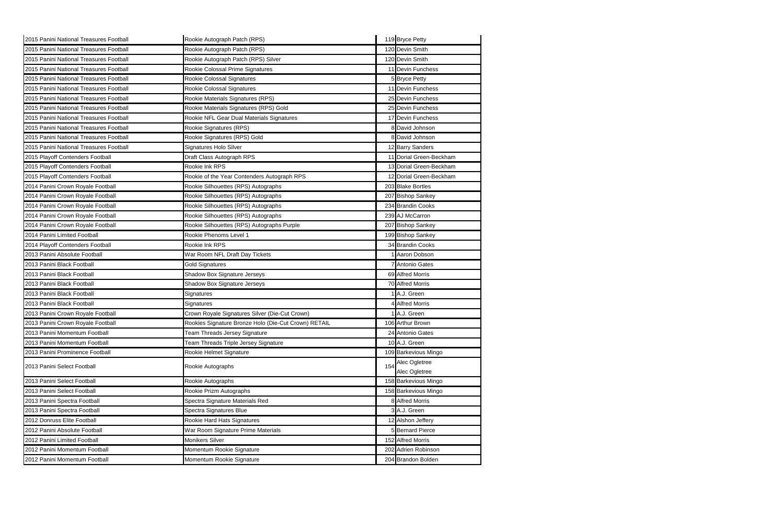| 2015 Panini National Treasures Football | Rookie Autograph Patch (RPS)                         |     | 119 Bryce Petty         |
|-----------------------------------------|------------------------------------------------------|-----|-------------------------|
| 2015 Panini National Treasures Football | Rookie Autograph Patch (RPS)                         |     | 120 Devin Smith         |
| 2015 Panini National Treasures Football | Rookie Autograph Patch (RPS) Silver                  |     | 120 Devin Smith         |
| 2015 Panini National Treasures Football | Rookie Colossal Prime Signatures                     |     | 11 Devin Funchess       |
| 2015 Panini National Treasures Football | Rookie Colossal Signatures                           |     | <b>5</b> Bryce Petty    |
| 2015 Panini National Treasures Football | Rookie Colossal Signatures                           |     | 11 Devin Funchess       |
| 2015 Panini National Treasures Football | Rookie Materials Signatures (RPS)                    |     | 25 Devin Funchess       |
| 2015 Panini National Treasures Football | Rookie Materials Signatures (RPS) Gold               |     | 25 Devin Funchess       |
| 2015 Panini National Treasures Football | Rookie NFL Gear Dual Materials Signatures            |     | 17 Devin Funchess       |
| 2015 Panini National Treasures Football | Rookie Signatures (RPS)                              |     | 8 David Johnson         |
| 2015 Panini National Treasures Football | Rookie Signatures (RPS) Gold                         |     | 8 David Johnson         |
| 2015 Panini National Treasures Football | Signatures Holo Silver                               |     | 12 Barry Sanders        |
| 2015 Playoff Contenders Football        | Draft Class Autograph RPS                            |     | 11 Dorial Green-Beckham |
| 2015 Playoff Contenders Football        | Rookie Ink RPS                                       |     | 13 Dorial Green-Beckham |
| 2015 Playoff Contenders Football        | Rookie of the Year Contenders Autograph RPS          |     | 12 Dorial Green-Beckham |
| 2014 Panini Crown Royale Football       | Rookie Silhouettes (RPS) Autographs                  |     | 203 Blake Bortles       |
| 2014 Panini Crown Royale Football       | Rookie Silhouettes (RPS) Autographs                  |     | 207 Bishop Sankey       |
| 2014 Panini Crown Royale Football       | Rookie Silhouettes (RPS) Autographs                  |     | 234 Brandin Cooks       |
| 2014 Panini Crown Royale Football       | Rookie Silhouettes (RPS) Autographs                  |     | 239 AJ McCarron         |
| 2014 Panini Crown Royale Football       | Rookie Silhouettes (RPS) Autographs Purple           |     | 207 Bishop Sankey       |
| 2014 Panini Limited Football            | Rookie Phenoms Level 1                               |     | 199 Bishop Sankey       |
| 2014 Playoff Contenders Football        | Rookie Ink RPS                                       |     | 34 Brandin Cooks        |
| 2013 Panini Absolute Football           | War Room NFL Draft Day Tickets                       |     | Aaron Dobson            |
| 2013 Panini Black Football              | <b>Gold Signatures</b>                               |     | Antonio Gates           |
| 2013 Panini Black Football              | Shadow Box Signature Jerseys                         |     | 69 Alfred Morris        |
| 2013 Panini Black Football              | Shadow Box Signature Jerseys                         |     | 70 Alfred Morris        |
| 2013 Panini Black Football              | Signatures                                           |     | IA.J. Green             |
| 2013 Panini Black Football              | Signatures                                           |     | 4 Alfred Morris         |
| 2013 Panini Crown Royale Football       | Crown Royale Signatures Silver (Die-Cut Crown)       |     | 1 A.J. Green            |
| 2013 Panini Crown Royale Football       | Rookies Signature Bronze Holo (Die-Cut Crown) RETAIL |     | 106 Arthur Brown        |
| 2013 Panini Momentum Football           | Team Threads Jersey Signature                        |     | 24 Antonio Gates        |
| 2013 Panini Momentum Football           | Team Threads Triple Jersey Signature                 |     | 10 A.J. Green           |
| 2013 Panini Prominence Football         | Rookie Helmet Signature                              |     | 109 Barkevious Mingo    |
| 2013 Panini Select Football             | Rookie Autographs                                    | 154 | Alec Ogletree           |
|                                         |                                                      |     | Alec Ogletree           |
| 2013 Panini Select Football             | Rookie Autographs                                    |     | 158 Barkevious Mingo    |
| 2013 Panini Select Football             | Rookie Prizm Autographs                              |     | 158 Barkevious Mingo    |
| 2013 Panini Spectra Football            | Spectra Signature Materials Red                      |     | 8 Alfred Morris         |
| 2013 Panini Spectra Football            | Spectra Signatures Blue                              |     | 3 A.J. Green            |
| 2012 Donruss Elite Football             | Rookie Hard Hats Signatures                          |     | 12 Alshon Jeffery       |
| 2012 Panini Absolute Football           | War Room Signature Prime Materials                   |     | 5 Bernard Pierce        |
| 2012 Panini Limited Football            | Monikers Silver                                      |     | 152 Alfred Morris       |
| 2012 Panini Momentum Football           | Momentum Rookie Signature                            |     | 202 Adrien Robinson     |
| 2012 Panini Momentum Football           | Momentum Rookie Signature                            |     | 204 Brandon Bolden      |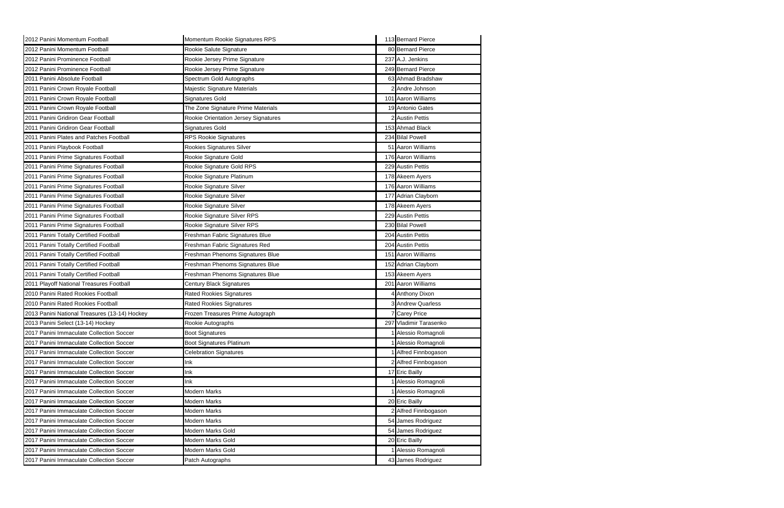| 2012 Panini Momentum Football                 | Momentum Rookie Signatures RPS       | 113 Bernard Pierce       |
|-----------------------------------------------|--------------------------------------|--------------------------|
| 2012 Panini Momentum Football                 | Rookie Salute Signature              | 80 Bernard Pierce        |
| 2012 Panini Prominence Football               | Rookie Jersey Prime Signature        | 237 A.J. Jenkins         |
| 2012 Panini Prominence Football               | Rookie Jersey Prime Signature        | 249 Bernard Pierce       |
| 2011 Panini Absolute Football                 | Spectrum Gold Autographs             | 63 Ahmad Bradshaw        |
| 2011 Panini Crown Royale Football             | Majestic Signature Materials         | 2 Andre Johnson          |
| 2011 Panini Crown Royale Football             | <b>Signatures Gold</b>               | 101 Aaron Williams       |
| 2011 Panini Crown Royale Football             | The Zone Signature Prime Materials   | 19 Antonio Gates         |
| 2011 Panini Gridiron Gear Football            | Rookie Orientation Jersey Signatures | 2 Austin Pettis          |
| 2011 Panini Gridiron Gear Football            | <b>Signatures Gold</b>               | 153 Ahmad Black          |
| 2011 Panini Plates and Patches Football       | <b>RPS Rookie Signatures</b>         | 234 Bilal Powell         |
| 2011 Panini Playbook Football                 | Rookies Signatures Silver            | 51 Aaron Williams        |
| 2011 Panini Prime Signatures Football         | Rookie Signature Gold                | 176 Aaron Williams       |
| 2011 Panini Prime Signatures Football         | Rookie Signature Gold RPS            | 229 Austin Pettis        |
| 2011 Panini Prime Signatures Football         | Rookie Signature Platinum            | 178 Akeem Ayers          |
| 2011 Panini Prime Signatures Football         | Rookie Signature Silver              | 176 Aaron Williams       |
| 2011 Panini Prime Signatures Football         | Rookie Signature Silver              | 177 Adrian Clayborn      |
| 2011 Panini Prime Signatures Football         | Rookie Signature Silver              | 178 Akeem Ayers          |
| 2011 Panini Prime Signatures Football         | Rookie Signature Silver RPS          | 229 Austin Pettis        |
| 2011 Panini Prime Signatures Football         | Rookie Signature Silver RPS          | 230 Bilal Powell         |
| 2011 Panini Totally Certified Football        | Freshman Fabric Signatures Blue      | 204 Austin Pettis        |
| 2011 Panini Totally Certified Football        | Freshman Fabric Signatures Red       | 204 Austin Pettis        |
| 2011 Panini Totally Certified Football        | Freshman Phenoms Signatures Blue     | 151 Aaron Williams       |
| 2011 Panini Totally Certified Football        | Freshman Phenoms Signatures Blue     | 152 Adrian Clayborn      |
| 2011 Panini Totally Certified Football        | Freshman Phenoms Signatures Blue     | 153 Akeem Ayers          |
| 2011 Playoff National Treasures Football      | Century Black Signatures             | 201 Aaron Williams       |
| 2010 Panini Rated Rookies Football            | <b>Rated Rookies Signatures</b>      | <b>Anthony Dixon</b>     |
| 2010 Panini Rated Rookies Football            | <b>Rated Rookies Signatures</b>      | 3 Andrew Quarless        |
| 2013 Panini National Treasures (13-14) Hockey | Frozen Treasures Prime Autograph     | <b>7 Carey Price</b>     |
| 2013 Panini Select (13-14) Hockey             | Rookie Autographs                    | 297 Vladimir Tarasenko   |
| 2017 Panini Immaculate Collection Soccer      | <b>Boot Signatures</b>               | Alessio Romagnoli        |
| 2017 Panini Immaculate Collection Soccer      | <b>Boot Signatures Platinum</b>      | <b>Alessio Romagnoli</b> |
| 2017 Panini Immaculate Collection Soccer      | <b>Celebration Signatures</b>        | Alfred Finnbogason       |
| 2017 Panini Immaculate Collection Soccer      | Ink                                  | 2 Alfred Finnbogason     |
| 2017 Panini Immaculate Collection Soccer      | Ink                                  | 17 Eric Bailly           |
| 2017 Panini Immaculate Collection Soccer      | Ink                                  | Alessio Romagnoli        |
| 2017 Panini Immaculate Collection Soccer      | <b>Modern Marks</b>                  | Alessio Romagnoli        |
| 2017 Panini Immaculate Collection Soccer      | Modern Marks                         | 20 Eric Bailly           |
| 2017 Panini Immaculate Collection Soccer      | Modern Marks                         | Alfred Finnbogason       |
| 2017 Panini Immaculate Collection Soccer      | Modern Marks                         | 54 James Rodriguez       |
| 2017 Panini Immaculate Collection Soccer      | Modern Marks Gold                    | 54 James Rodriguez       |
| 2017 Panini Immaculate Collection Soccer      | Modern Marks Gold                    | 20 Eric Bailly           |
| 2017 Panini Immaculate Collection Soccer      | Modern Marks Gold                    | <b>Alessio Romagnoli</b> |
| 2017 Panini Immaculate Collection Soccer      | Patch Autographs                     | 43 James Rodriguez       |